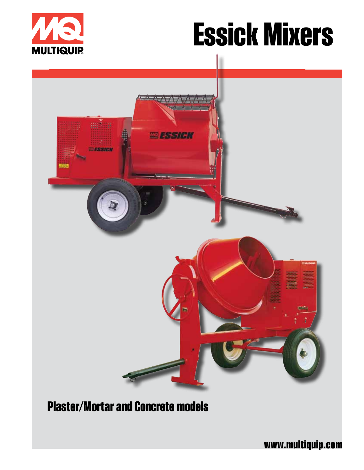

# **Essick Mixers**



## **Plaster/Mortar and Concrete models**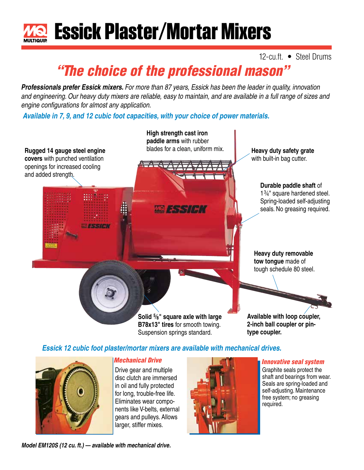

### 12-cu.ft. • Steel Drums

# *"The choice of the professional mason"*

*Professionals prefer Essick mixers. For more than 87 years, Essick has been the leader in quality, innovation and engineering. Our heavy duty mixers are reliable, easy to maintain, and are available in a full range of sizes and engine configurations for almost any application.*

*Available in 7, 9, and 12 cubic foot capacities, with your choice of power materials.*



#### *Essick 12 cubic foot plaster/mortar mixers are available with mechanical drives.*



#### *Mechanical Drive*

Drive gear and multiple disc clutch are immersed in oil and fully protected for long, trouble-free life. Eliminates wear components like V-belts, external gears and pulleys. Allows larger, stiffer mixes.



#### *Innovative seal system*

Graphite seals protect the shaft and bearings from wear. Seals are spring-loaded and self-adjusting. Maintenance free system; no greasing required.

*Model EM120S (12 cu. ft.) — available with mechanical drive.*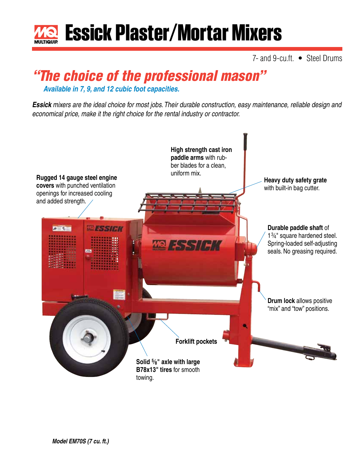

7- and 9-cu.ft. • Steel Drums

# *"The choice of the professional mason"*

*Available in 7, 9, and 12 cubic foot capacities.*

*Essick mixers are the ideal choice for most jobs. Their durable construction, easy maintenance, reliable design and economical price, make it the right choice for the rental industry or contractor.* 

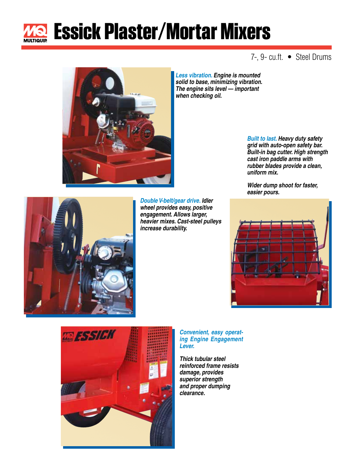

# **Essick Plaster/Mortar Mixers**

### 7-, 9- cu.ft. • Steel Drums



*solid to base, minimizing vibration. The engine sits level — important when checking oil.*

> *Built to last. Heavy duty safety grid with auto-open safety bar. Built-in bag cutter. High strength cast iron paddle arms with rubber blades provide a clean, uniform mix.*

*Wider dump shoot for faster, easier pours.*





*Double V-belt/gear drive. Idler wheel provides easy, positive engagement. Allows larger, heavier mixes. Cast-steel pulleys increase durability.*



*Convenient, easy operating Engine Engagement Lever.*

*Thick tubular steel reinforced frame resists damage, provides superior strength and proper dumping clearance.*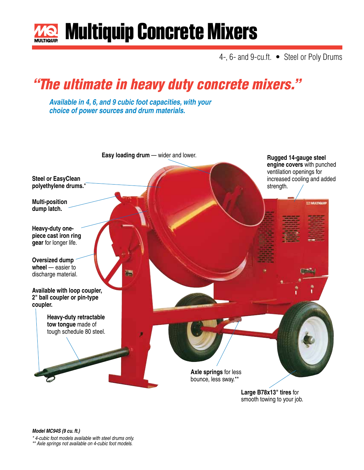

# **Multiquip Concrete Mixers**

4-, 6- and 9-cu.ft. • Steel or Poly Drums

# *"The ultimate in heavy duty concrete mixers."*

*Available in 4, 6, and 9 cubic foot capacities, with your choice of power sources and drum materials.*



smooth towing to your job.

*Model MC94S (9 cu. ft.)*

*\* 4-cubic foot models available with steel drums only.*

*\*\* Axle springs not available on 4-cubic foot models.*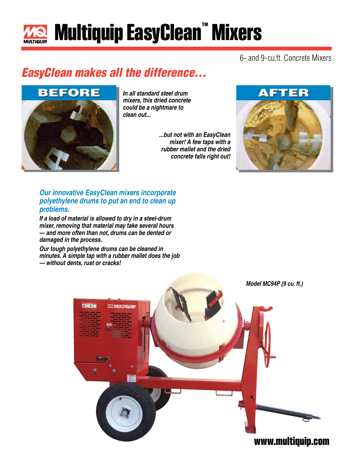# **Multiquip EasyClean™ Mixers**

6- and 9-cu.ft. Concrete Mixers

### *EasyClean makes all the difference...*



*In all standard steel drum mixers, this dried concrete could be a nightmare to clean out...*

> *...but not with an EasyClean mixer! A few taps with a rubber mallet and the dried concrete falls right out!*



*Our innovative EasyClean mixers incorporate polyethylene drums to put an end to clean up problems.*

*If a load of material is allowed to dry in a steel-drum mixer, removing that material may take several hours — and more often than not, drums can be dented or damaged in the process.*

*Our tough polyethylene drums can be cleaned in minutes. A simple tap with a rubber mallet does the job — without dents, rust or cracks!*

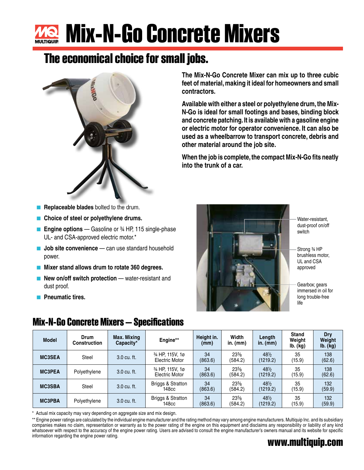# **Mix-N-Go Concrete Mixers**

### **The economical choice for small jobs.**



**The Mix-N-Go Concrete Mixer can mix up to three cubic feet of material, making it ideal for homeowners and small contractors.**

**Available with either a steel or polyethylene drum, the Mix-N-Go is ideal for small footings and bases, binding block and concrete patching. It is available with a gasoline engine or electric motor for operator convenience. It can also be used as a wheelbarrow to transport concrete, debris and other material around the job site.**

**When the job is complete, the compact Mix-N-Go fits neatly into the trunk of a car.**

- **Replaceable blades** bolted to the drum.
- Choice of steel or polyethylene drums.
- **Engine options** Gasoline or ¾ HP, 115 single-phase UL- and CSA-approved electric motor.\*
- **Job site convenience** can use standard household power.
- Mixer stand allows drum to rotate 360 degrees.
- **New on/off switch protection** water-resistant and dust proof.
- **Pneumatic tires.**



Water-resistant, dust-proof on/off switch

Strong ¾ HP brushless motor, UL and CSA approved

Gearbox; gears immersed in oil for long trouble-free life

| <b>Model</b>  | Drum<br><b>Construction</b> | Max. Mixing<br>Capacity* | Engine**                          | Height in.<br>(mm) | Width<br>$in.$ (mm) | Length<br>in. $(mm)$ | <b>Stand</b><br>Weight<br>Ib. (kg) | <b>Dry</b><br>Weiaht<br>lb. (kg) |
|---------------|-----------------------------|--------------------------|-----------------------------------|--------------------|---------------------|----------------------|------------------------------------|----------------------------------|
| <b>MC3SEA</b> | Steel                       | 3.0 cu. ft.              | 34 HP, 115V, 1ø<br>Electric Motor | 34<br>(863.6)      | $23\%$<br>(584.2)   | 48%<br>(1219.2)      | 35<br>(15.9)                       | 138<br>(62.6)                    |
| <b>MC3PEA</b> | Polyethylene                | 3.0 cu. ft.              | 34 HP, 115V, 1ø<br>Electric Motor | 34<br>(863.6)      | $23\%$<br>(584.2)   | 48%<br>(1219.2)      | 35<br>(15.9)                       | 138<br>(62.6)                    |
| <b>MC3SBA</b> | Steel                       | 3.0 cu. ft.              | Briggs & Stratton<br>148cc        | 34<br>(863.6)      | $23\%$<br>(584.2)   | 48%<br>(1219.2)      | 35<br>(15.9)                       | 132<br>(59.9)                    |
| <b>MC3PBA</b> | Polyethylene                | 3.0 cu. ft.              | Briggs & Stratton<br>148cc        | 34<br>(863.6)      | $23\%$<br>(584.2)   | 48%<br>(1219.2)      | 35<br>(15.9)                       | 132<br>(59.9)                    |

Actual mix capacity may vary depending on aggregate size and mix design.

**www.multiquip.com** \*\* Engine power ratings are calculated by the individual engine manufacturer and the rating method may vary among engine manufacturers. Multiquip Inc. and its subsidiary companies makes no claim, representation or warranty as to the power rating of the engine on this equipment and disclaims any responsibility or liability of any kind whatsoever with respect to the accuracy of the engine power rating. Users are advised to consult the engine manufacturer's owners manual and its website for specific information regarding the engine power rating.

### **Mix-N-Go Concrete Mixers — Specifications**